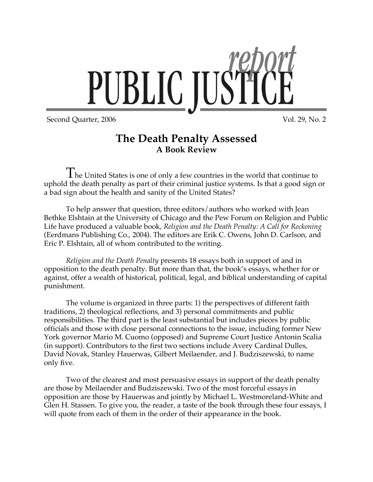

Second Quarter, 2006 Vol. 29, No. 2

# **The Death Penalty Assessed A Book Review**

 ${\rm T}$ he United States is one of only a few countries in the world that continue to uphold the death penalty as part of their criminal justice systems. Is that a good sign or a bad sign about the health and sanity of the United States?

To help answer that question, three editors/authors who worked with Jean Bethke Elshtain at the University of Chicago and the Pew Forum on Religion and Public Life have produced a valuable book, *Religion and the Death Penalty: A Call for Reckoning* (Eerdmans Publishing Co., 2004). The editors are Erik C. Owens, John D. Carlson, and Eric P. Elshtain, all of whom contributed to the writing.

*Religion and the Death Penalty* presents 18 essays both in support of and in opposition to the death penalty. But more than that, the book's essays, whether for or against, offer a wealth of historical, political, legal, and biblical understanding of capital punishment.

The volume is organized in three parts: 1) the perspectives of different faith traditions, 2) theological reflections, and 3) personal commitments and public responsibilities. The third part is the least substantial but includes pieces by public officials and those with close personal connections to the issue, including former New York governor Mario M. Cuomo (opposed) and Supreme Court Justice Antonin Scalia (in support). Contributors to the first two sections include Avery Cardinal Dulles, David Novak, Stanley Hauerwas, Gilbert Meilaender, and J. Budziszewski, to name only five.

Two of the clearest and most persuasive essays in support of the death penalty are those by Meilaender and Budziszewski. Two of the most forceful essays in opposition are those by Hauerwas and jointly by Michael L. Westmoreland-White and Glen H. Stassen. To give you, the reader, a taste of the book through these four essays, I will quote from each of them in the order of their appearance in the book.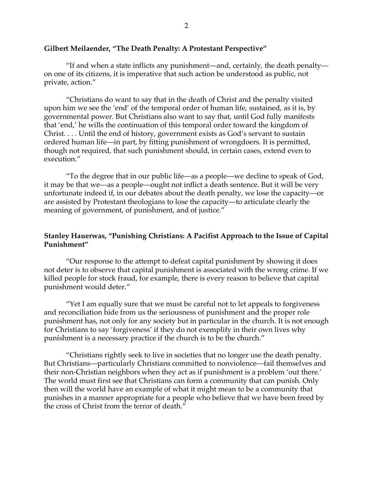#### **Gilbert Meilaender, "The Death Penalty: A Protestant Perspective"**

"If and when a state inflicts any punishment—and, certainly, the death penalty on one of its citizens, it is imperative that such action be understood as public, not private, action."

"Christians do want to say that in the death of Christ and the penalty visited upon him we see the 'end' of the temporal order of human life, sustained, as it is, by governmental power. But Christians also want to say that, until God fully manifests that 'end,' he wills the continuation of this temporal order toward the kingdom of Christ. . . . Until the end of history, government exists as God's servant to sustain ordered human life—in part, by fitting punishment of wrongdoers. It is permitted, though not required, that such punishment should, in certain cases, extend even to execution."

"To the degree that in our public life—as a people—we decline to speak of God, it may be that we—as a people—ought not inflict a death sentence. But it will be very unfortunate indeed if, in our debates about the death penalty, we lose the capacity—or are assisted by Protestant theologians to lose the capacity—to articulate clearly the meaning of government, of punishment, and of justice."

#### **Stanley Hauerwas, "Punishing Christians: A Pacifist Approach to the Issue of Capital Punishment"**

"Our response to the attempt to defeat capital punishment by showing it does not deter is to observe that capital punishment is associated with the wrong crime. If we killed people for stock fraud, for example, there is every reason to believe that capital punishment would deter."

"Yet I am equally sure that we must be careful not to let appeals to forgiveness and reconciliation hide from us the seriousness of punishment and the proper role punishment has, not only for any society but in particular in the church. It is not enough for Christians to say 'forgiveness' if they do not exemplify in their own lives why punishment is a necessary practice if the church is to be the church."

"Christians rightly seek to live in societies that no longer use the death penalty. But Christians—particularly Christians committed to nonviolence—fail themselves and their non-Christian neighbors when they act as if punishment is a problem 'out there.' The world must first see that Christians can form a community that can punish. Only then will the world have an example of what it might mean to be a community that punishes in a manner appropriate for a people who believe that we have been freed by the cross of Christ from the terror of death."